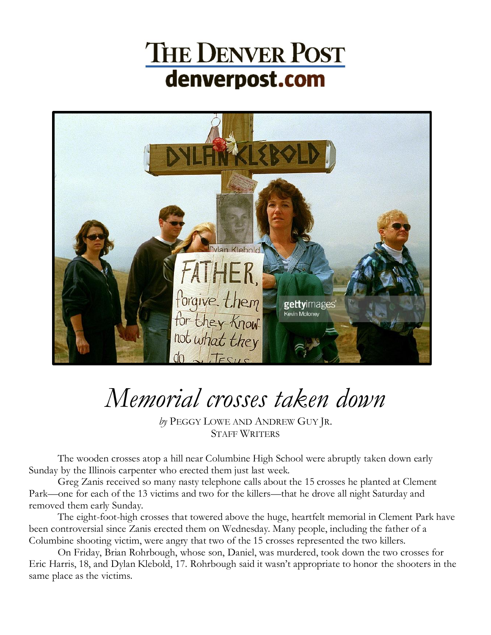## **THE DENVER POST** denverpost.com



## *Memorial crosses taken down*

*by* PEGGY L[OWE AND](mailto:plowe@denverpost.com) ANDREW GUY JR. STAFF WRITERS

The wooden crosses atop a hill near Columbine High School were abruptly taken down early Sunday by the Illinois carpenter who erected them just last week.

Greg Zanis received so many nasty telephone calls about the 15 crosses he planted at Clement Park—one for each of the 13 victims and two for the killers—that he drove all night Saturday and removed them early Sunday.

The eight-foot-high crosses that towered above the huge, heartfelt memorial in Clement Park have been controversial since Zanis erected them on Wednesday. Many people, including the father of a Columbine shooting victim, were angry that two of the 15 crosses represented the two killers.

On Friday, Brian Rohrbough, whose son, Daniel, was murdered, took down the two crosses for Eric Harris, 18, and Dylan Klebold, 17. Rohrbough said it wasn't appropriate to honor the shooters in the same place as the victims.